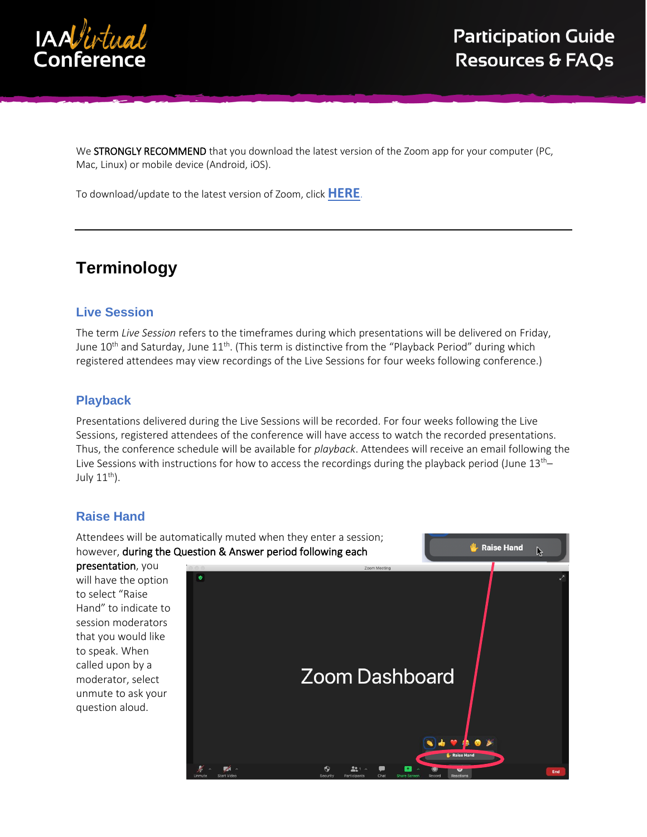

We STRONGLY RECOMMEND that you download the latest version of the Zoom app for your computer (PC, Mac, Linux) or mobile device (Android, iOS).

To download/update to the latest version of Zoom, click **[HERE](https://support.zoom.us/hc/en-us/articles/201362233-Downloading-the-latest-Zoom-update)**.

# **Terminology**

### **Live Session**

The term *Live Session* refers to the timeframes during which presentations will be delivered on Friday, June  $10^{\text{th}}$  and Saturday, June  $11^{\text{th}}$ . (This term is distinctive from the "Playback Period" during which registered attendees may view recordings of the Live Sessions for four weeks following conference.)

#### **Playback**

Presentations delivered during the Live Sessions will be recorded. For four weeks following the Live Sessions, registered attendees of the conference will have access to watch the recorded presentations. Thus, the conference schedule will be available for *playback*. Attendees will receive an email following the Live Sessions with instructions for how to access the recordings during the playback period (June  $13<sup>th</sup>$ July  $11^{th}$ ).

## **Raise Hand**

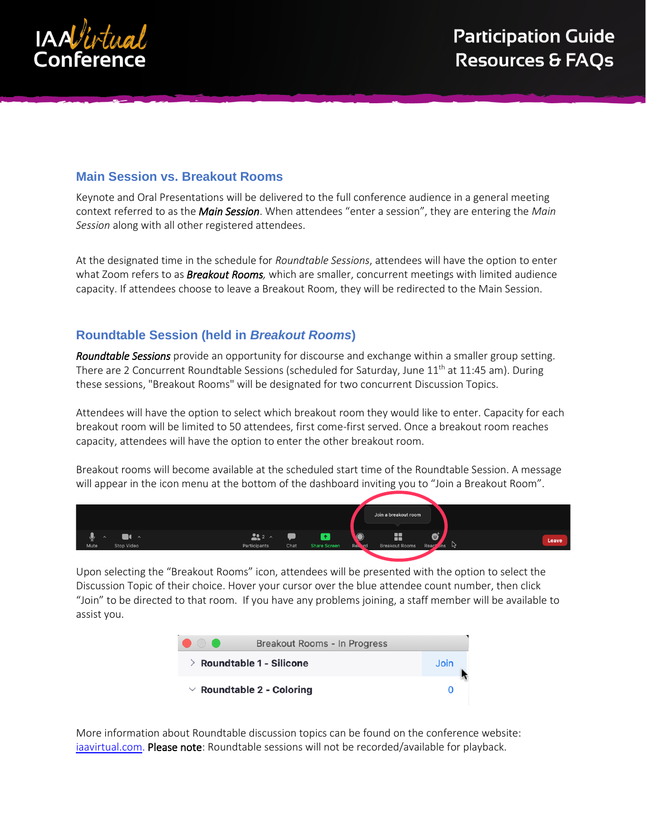

## **Main Session vs. Breakout Rooms**

Keynote and Oral Presentations will be delivered to the full conference audience in a general meeting context referred to as the *Main Session*. When attendees "enter a session", they are entering the *Main Session* along with all other registered attendees.

At the designated time in the schedule for *Roundtable Sessions*, attendees will have the option to enter what Zoom refers to as *Breakout Rooms,* which are smaller, concurrent meetings with limited audience capacity. If attendees choose to leave a Breakout Room, they will be redirected to the Main Session.

## **Roundtable Session (held in** *Breakout Rooms***)**

*Roundtable Sessions* provide an opportunity for discourse and exchange within a smaller group setting. There are 2 Concurrent Roundtable Sessions (scheduled for Saturday, June 11<sup>th</sup> at 11:45 am). During these sessions, "Breakout Rooms" will be designated for two concurrent Discussion Topics.

Attendees will have the option to select which breakout room they would like to enter. Capacity for each breakout room will be limited to 50 attendees, first come-first served. Once a breakout room reaches capacity, attendees will have the option to enter the other breakout room.

Breakout rooms will become available at the scheduled start time of the Roundtable Session. A message will appear in the icon menu at the bottom of the dashboard inviting you to "Join a Breakout Room".



Upon selecting the "Breakout Rooms" icon, attendees will be presented with the option to select the Discussion Topic of their choice. Hover your cursor over the blue attendee count number, then click "Join" to be directed to that room. If you have any problems joining, a staff member will be available to assist you.



More information about Roundtable discussion topics can be found on the conference website: [iaavirtual.com.](http://iaavirtual.com/) Please note: Roundtable sessions will not be recorded/available for playback.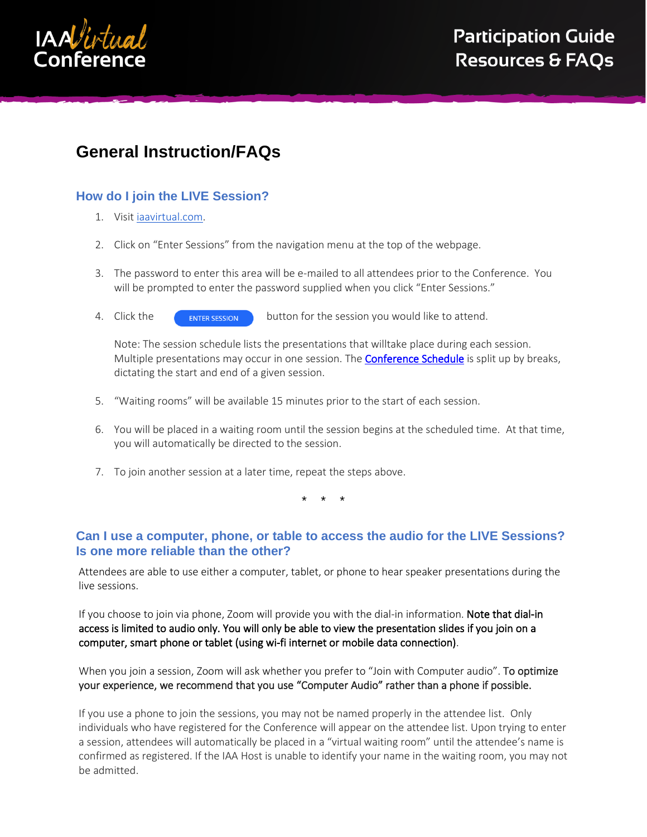

# **General Instruction/FAQs**

## **How do I join the LIVE Session?**

- 1. Visit [iaavirtual.com.](http://iaavirtual.com/)
- 2. Click on "Enter Sessions" from the navigation menu at the top of the webpage.
- 3. The password to enter this area will be e-mailed to all attendees prior to the Conference. You will be prompted to enter the password supplied when you click "Enter Sessions."
- 4. Click the **C**<sub>ENTER</sub> SESSION</sub> button for the session you would like to attend.

Note: The session schedule lists the presentations that willtake place during each session. Multiple presentations may occur in one session. The **Conference Schedule** is split up by breaks, dictating the start and end of a given session.

- 5. "Waiting rooms" will be available 15 minutes prior to the start of each session.
- 6. You will be placed in a waiting room until the session begins at the scheduled time. At that time, you will automatically be directed to the session.
- 7. To join another session at a later time, repeat the steps above.

\* \* \*

## **Can I use a computer, phone, or table to access the audio for the LIVE Sessions? Is one more reliable than the other?**

Attendees are able to use either a computer, tablet, or phone to hear speaker presentations during the live sessions.

If you choose to join via phone, Zoom will provide you with the dial-in information. Note that dial-in access is limited to audio only. You will only be able to view the presentation slides if you join on a computer, smart phone or tablet (using wi-fi internet or mobile data connection).

When you join a session, Zoom will ask whether you prefer to "Join with Computer audio". To optimize your experience, we recommend that you use "Computer Audio" rather than a phone if possible.

If you use a phone to join the sessions, you may not be named properly in the attendee list. Only individuals who have registered for the Conference will appear on the attendee list. Upon trying to enter a session, attendees will automatically be placed in a "virtual waiting room" until the attendee's name is confirmed as registered. If the IAA Host is unable to identify your name in the waiting room, you may not be admitted.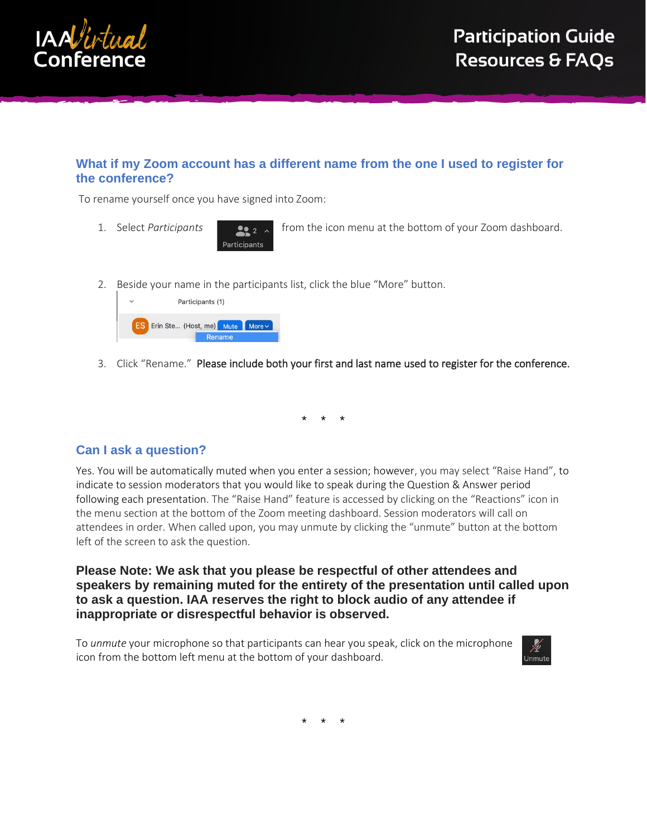

## **What if my Zoom account has a different name from the one I used to register for the conference?**

To rename yourself once you have signed into Zoom:

1. Select *Participants* from the icon menu at the bottom of your Zoom dashboard.

2. Beside your name in the participants list, click the blue "More" button.

Participants



3. Click "Rename." Please include both your first and last name used to register for the conference.

\* \* \*

#### **Can I ask a question?**

Yes. You will be automatically muted when you enter a session; however, you may select "Raise Hand", to indicate to session moderators that you would like to speak during the Question & Answer period following each presentation. The "Raise Hand" feature is accessed by clicking on the "Reactions" icon in the menu section at the bottom of the Zoom meeting dashboard. Session moderators will call on attendees in order. When called upon, you may unmute by clicking the "unmute" button at the bottom left of the screen to ask the question.

**Please Note: We ask that you please be respectful of other attendees and speakers by remaining muted for the entirety of the presentation until called upon to ask a question. IAA reserves the right to block audio of any attendee if inappropriate or disrespectful behavior is observed.**

To *unmute* your microphone so that participants can hear you speak, click on the microphone icon from the bottom left menu at the bottom of your dashboard.



\* \* \*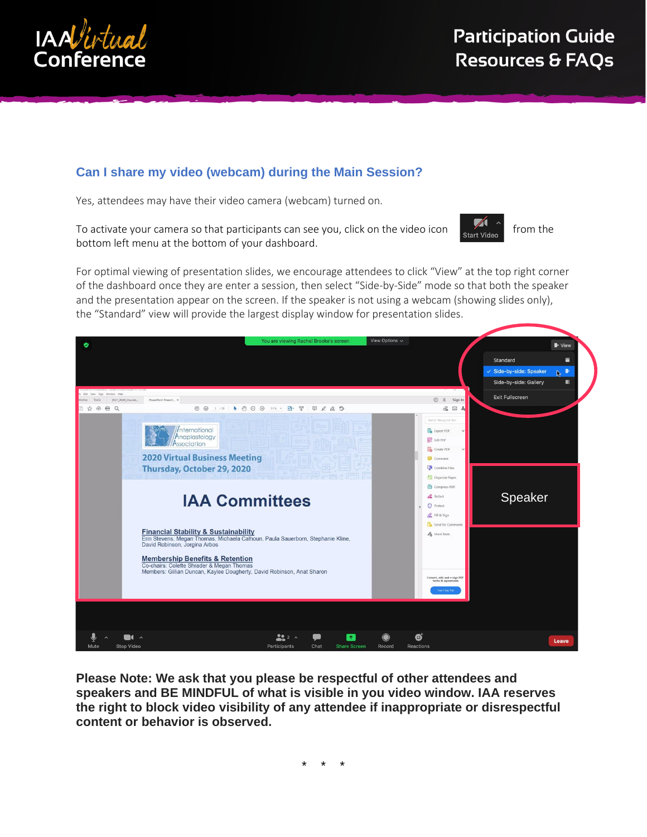

# **Can I share my video (webcam) during the Main Session?**

Yes, attendees may have their video camera (webcam) turned on.

To activate your camera so that participants can see you, click on the video icon  $\overline{\phantom{a}}_{\text{start video}}$  from the bottom left menu at the bottom of your dashboard.



For optimal viewing of presentation slides, we encourage attendees to click "View" at the top right corner of the dashboard once they are enter a session, then select "Side-by-Side" mode so that both the speaker and the presentation appear on the screen. If the speaker is not using a webcam (showing slides only), the "Standard" view will provide the largest display window for presentation slides.



**Please Note: We ask that you please be respectful of other attendees and speakers and BE MINDFUL of what is visible in you video window. IAA reserves the right to block video visibility of any attendee if inappropriate or disrespectful content or behavior is observed.**

\* \* \*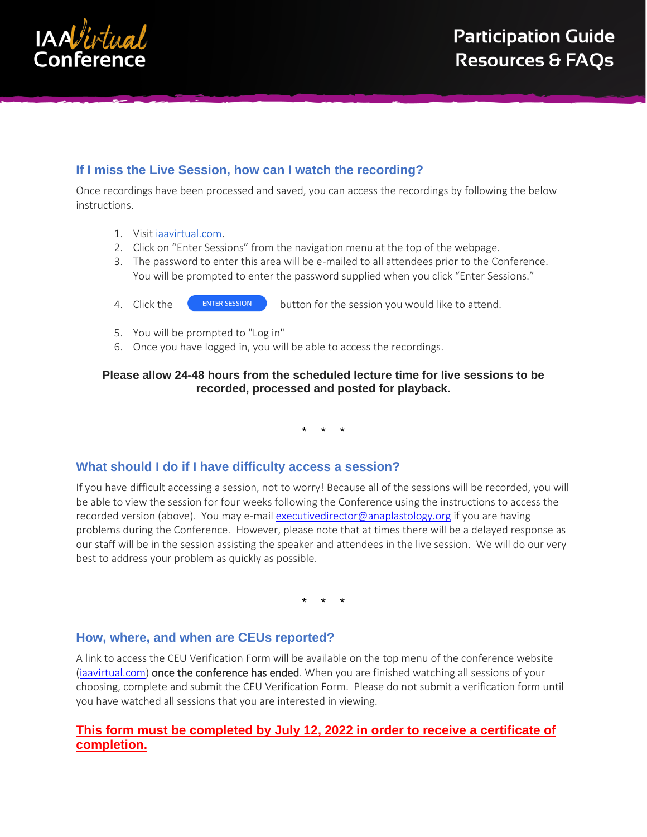

# **If I miss the Live Session, how can I watch the recording?**

Once recordings have been processed and saved, you can access the recordings by following the below instructions.

- 1. Visit [iaavirtual.com.](http://iaavirtual.com/)
- 2. Click on "Enter Sessions" from the navigation menu at the top of the webpage.
- 3. The password to enter this area will be e-mailed to all attendees prior to the Conference. You will be prompted to enter the password supplied when you click "Enter Sessions."
- 4. Click the **C**U ENTER SESSION button for the session you would like to attend.
- 5. You will be prompted to "Log in"
- 6. Once you have logged in, you will be able to access the recordings.

#### **Please allow 24-48 hours from the scheduled lecture time for live sessions to be recorded, processed and posted for playback.**

\* \* \*

#### **What should I do if I have difficulty access a session?**

If you have difficult accessing a session, not to worry! Because all of the sessions will be recorded, you will be able to view the session for four weeks following the Conference using the instructions to access the recorded version (above). You may e-mail [executivedirector@anaplastology.org](mailto:executivedirector@anaplastology.org) if you are having problems during the Conference. However, please note that at times there will be a delayed response as our staff will be in the session assisting the speaker and attendees in the live session. We will do our very best to address your problem as quickly as possible.

\* \* \*

#### **How, where, and when are CEUs reported?**

A link to access the CEU Verification Form will be available on the top menu of the conference website [\(iaavirtual.com\)](https://iaavirtual.com/) once the conference has ended. When you are finished watching all sessions of your choosing, complete and submit the CEU Verification Form. Please do not submit a verification form until you have watched all sessions that you are interested in viewing.

### **This form must be completed by July 12, 2022 in order to receive a certificate of completion.**